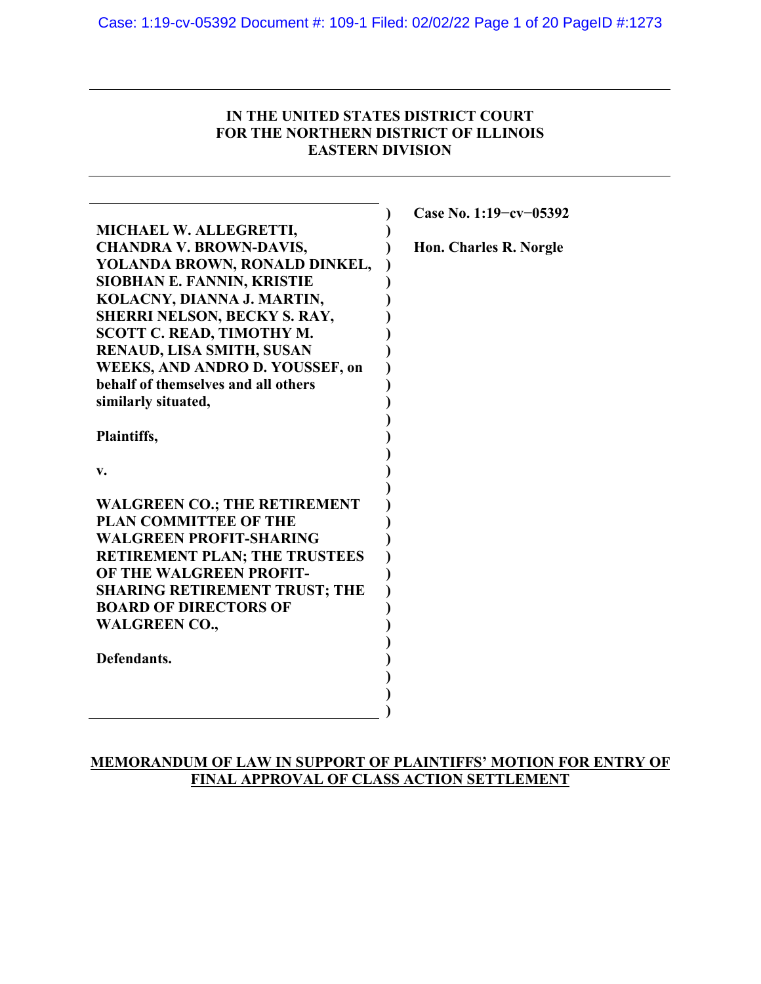## **IN THE UNITED STATES DISTRICT COURT FOR THE NORTHERN DISTRICT OF ILLINOIS EASTERN DIVISION**

|                                        | Case No. 1:19-cv-05392 |
|----------------------------------------|------------------------|
| MICHAEL W. ALLEGRETTI,                 |                        |
| <b>CHANDRA V. BROWN-DAVIS,</b>         | Hon. Charles R. Norgle |
| YOLANDA BROWN, RONALD DINKEL,          |                        |
| <b>SIOBHAN E. FANNIN, KRISTIE</b>      |                        |
| KOLACNY, DIANNA J. MARTIN,             |                        |
| SHERRI NELSON, BECKY S. RAY,           |                        |
| <b>SCOTT C. READ, TIMOTHY M.</b>       |                        |
| RENAUD, LISA SMITH, SUSAN              |                        |
| <b>WEEKS, AND ANDRO D. YOUSSEF, on</b> |                        |
| behalf of themselves and all others    |                        |
| similarly situated,                    |                        |
|                                        |                        |
| Plaintiffs,                            |                        |
| v.                                     |                        |
|                                        |                        |
| <b>WALGREEN CO.; THE RETIREMENT</b>    |                        |
| <b>PLAN COMMITTEE OF THE</b>           |                        |
| <b>WALGREEN PROFIT-SHARING</b>         |                        |
| <b>RETIREMENT PLAN; THE TRUSTEES</b>   |                        |
| OF THE WALGREEN PROFIT-                |                        |
| <b>SHARING RETIREMENT TRUST; THE</b>   |                        |
| <b>BOARD OF DIRECTORS OF</b>           |                        |
| <b>WALGREEN CO.,</b>                   |                        |
|                                        |                        |
| Defendants.                            |                        |
|                                        |                        |
|                                        |                        |
|                                        |                        |

## **MEMORANDUM OF LAW IN SUPPORT OF PLAINTIFFS' MOTION FOR ENTRY OF FINAL APPROVAL OF CLASS ACTION SETTLEMENT**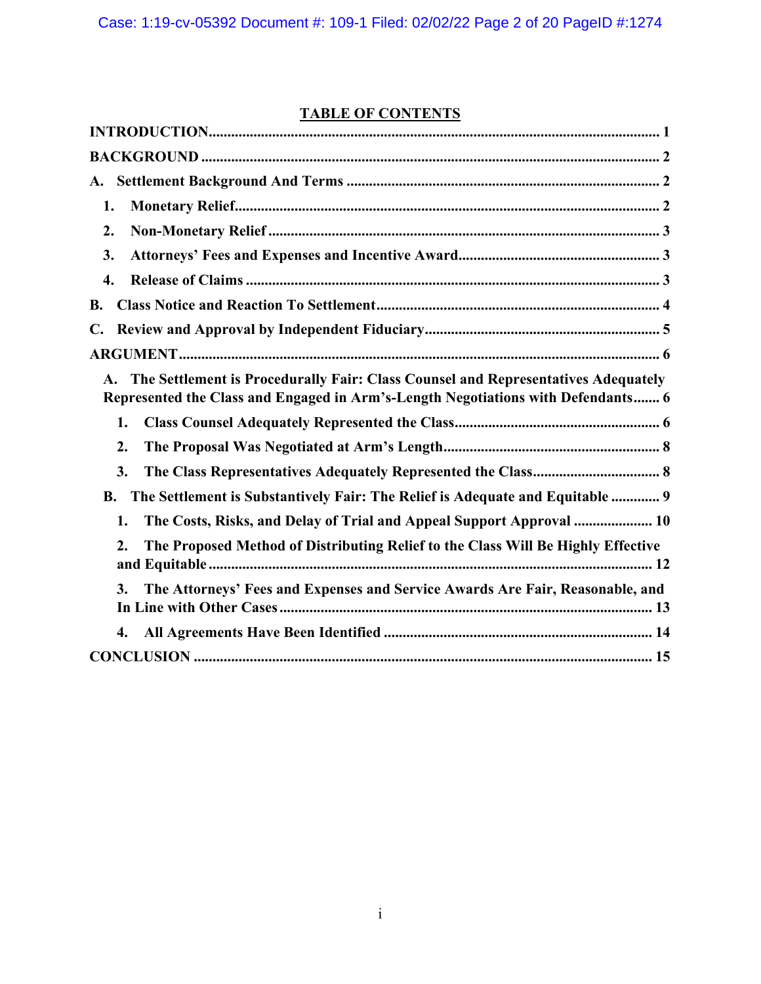# **TABLE OF CONTENTS**

| A.                                                                                                                                                                    |
|-----------------------------------------------------------------------------------------------------------------------------------------------------------------------|
| 1.                                                                                                                                                                    |
| 2.                                                                                                                                                                    |
| 3.                                                                                                                                                                    |
| 4.                                                                                                                                                                    |
| <b>B.</b>                                                                                                                                                             |
| $\mathbf{C}$ .                                                                                                                                                        |
|                                                                                                                                                                       |
| The Settlement is Procedurally Fair: Class Counsel and Representatives Adequately<br>Represented the Class and Engaged in Arm's-Length Negotiations with Defendants 6 |
| 1.                                                                                                                                                                    |
| 2.                                                                                                                                                                    |
| 3.                                                                                                                                                                    |
| The Settlement is Substantively Fair: The Relief is Adequate and Equitable  9<br><b>B.</b>                                                                            |
| The Costs, Risks, and Delay of Trial and Appeal Support Approval  10<br>1.                                                                                            |
| The Proposed Method of Distributing Relief to the Class Will Be Highly Effective<br>2.                                                                                |
| The Attorneys' Fees and Expenses and Service Awards Are Fair, Reasonable, and<br>3.                                                                                   |
| 4.                                                                                                                                                                    |
|                                                                                                                                                                       |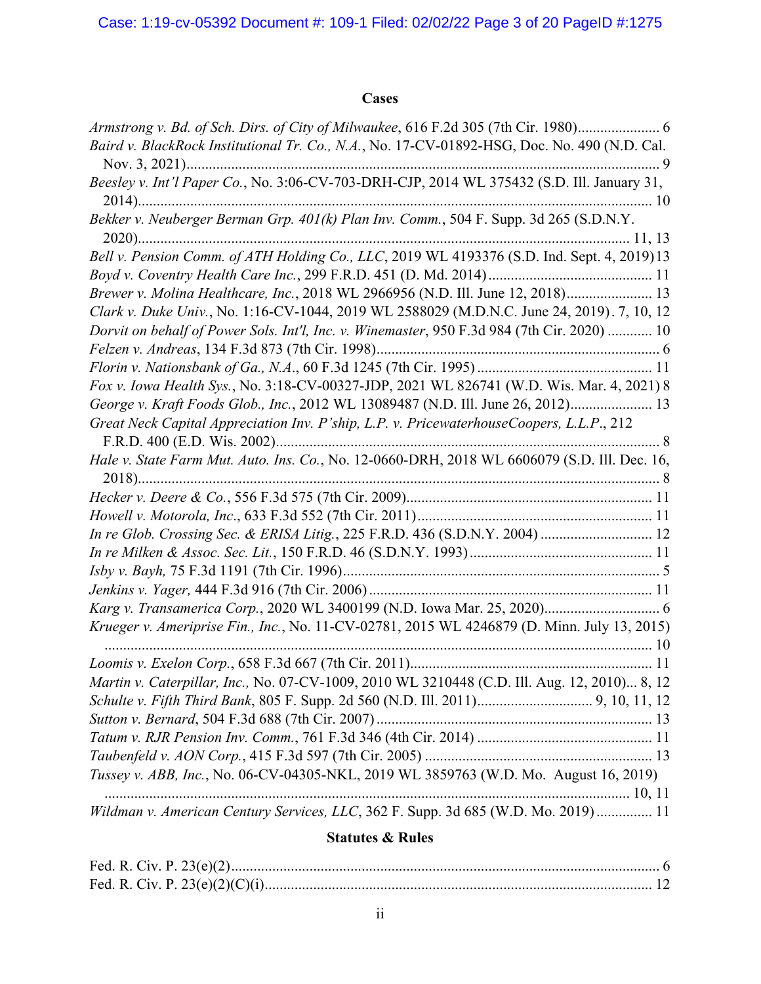## **Cases**

| Armstrong v. Bd. of Sch. Dirs. of City of Milwaukee, 616 F.2d 305 (7th Cir. 1980) 6          |
|----------------------------------------------------------------------------------------------|
| Baird v. BlackRock Institutional Tr. Co., N.A., No. 17-CV-01892-HSG, Doc. No. 490 (N.D. Cal. |
|                                                                                              |
| Beesley v. Int'l Paper Co., No. 3:06-CV-703-DRH-CJP, 2014 WL 375432 (S.D. Ill. January 31,   |
|                                                                                              |
|                                                                                              |
|                                                                                              |
| Bell v. Pension Comm. of ATH Holding Co., LLC, 2019 WL 4193376 (S.D. Ind. Sept. 4, 2019)13   |
|                                                                                              |
| Brewer v. Molina Healthcare, Inc., 2018 WL 2966956 (N.D. Ill. June 12, 2018) 13              |
| Clark v. Duke Univ., No. 1:16-CV-1044, 2019 WL 2588029 (M.D.N.C. June 24, 2019). 7, 10, 12   |
| Dorvit on behalf of Power Sols. Int'l, Inc. v. Winemaster, 950 F.3d 984 (7th Cir. 2020)  10  |
|                                                                                              |
|                                                                                              |
| Fox v. Iowa Health Sys., No. 3:18-CV-00327-JDP, 2021 WL 826741 (W.D. Wis. Mar. 4, 2021) 8    |
| George v. Kraft Foods Glob., Inc., 2012 WL 13089487 (N.D. Ill. June 26, 2012) 13             |
| Great Neck Capital Appreciation Inv. P'ship, L.P. v. PricewaterhouseCoopers, L.L.P., 212     |
|                                                                                              |
| Hale v. State Farm Mut. Auto. Ins. Co., No. 12-0660-DRH, 2018 WL 6606079 (S.D. Ill. Dec. 16, |
|                                                                                              |
|                                                                                              |
|                                                                                              |
| In re Glob. Crossing Sec. & ERISA Litig., 225 F.R.D. 436 (S.D.N.Y. 2004) 12                  |
|                                                                                              |
|                                                                                              |
|                                                                                              |
| Karg v. Transamerica Corp., 2020 WL 3400199 (N.D. Iowa Mar. 25, 2020) 6                      |
| Krueger v. Ameriprise Fin., Inc., No. 11-CV-02781, 2015 WL 4246879 (D. Minn. July 13, 2015)  |
|                                                                                              |
|                                                                                              |
| Martin v. Caterpillar, Inc., No. 07-CV-1009, 2010 WL 3210448 (C.D. Ill. Aug. 12, 2010) 8, 12 |
|                                                                                              |
|                                                                                              |
|                                                                                              |
|                                                                                              |
| Tussey v. ABB, Inc., No. 06-CV-04305-NKL, 2019 WL 3859763 (W.D. Mo. August 16, 2019)         |
|                                                                                              |
| Wildman v. American Century Services, LLC, 362 F. Supp. 3d 685 (W.D. Mo. 2019) 11            |

## **Statutes & Rules**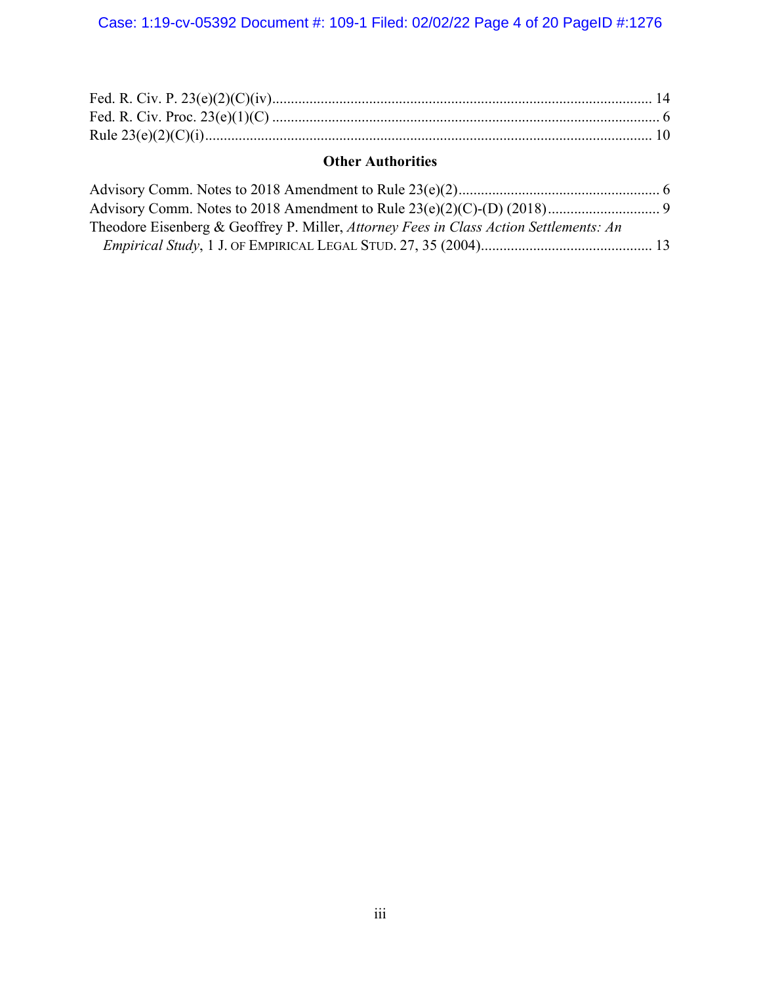## **Other Authorities**

| Theodore Eisenberg & Geoffrey P. Miller, Attorney Fees in Class Action Settlements: An |  |
|----------------------------------------------------------------------------------------|--|
|                                                                                        |  |
|                                                                                        |  |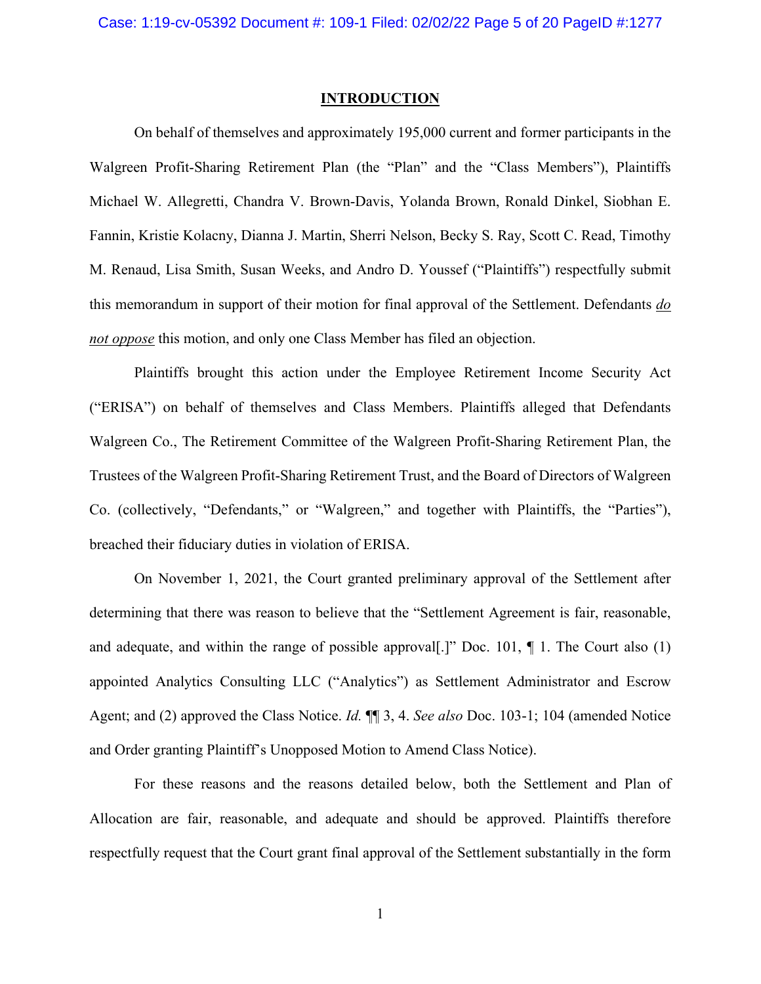#### **INTRODUCTION**

<span id="page-4-0"></span>On behalf of themselves and approximately 195,000 current and former participants in the Walgreen Profit-Sharing Retirement Plan (the "Plan" and the "Class Members"), Plaintiffs Michael W. Allegretti, Chandra V. Brown-Davis, Yolanda Brown, Ronald Dinkel, Siobhan E. Fannin, Kristie Kolacny, Dianna J. Martin, Sherri Nelson, Becky S. Ray, Scott C. Read, Timothy M. Renaud, Lisa Smith, Susan Weeks, and Andro D. Youssef ("Plaintiffs") respectfully submit this memorandum in support of their motion for final approval of the Settlement. Defendants *do not oppose* this motion, and only one Class Member has filed an objection.

Plaintiffs brought this action under the Employee Retirement Income Security Act ("ERISA") on behalf of themselves and Class Members. Plaintiffs alleged that Defendants Walgreen Co., The Retirement Committee of the Walgreen Profit-Sharing Retirement Plan, the Trustees of the Walgreen Profit-Sharing Retirement Trust, and the Board of Directors of Walgreen Co. (collectively, "Defendants," or "Walgreen," and together with Plaintiffs, the "Parties"), breached their fiduciary duties in violation of ERISA.

On November 1, 2021, the Court granted preliminary approval of the Settlement after determining that there was reason to believe that the "Settlement Agreement is fair, reasonable, and adequate, and within the range of possible approval [.]" Doc. 101,  $\P$  1. The Court also (1) appointed Analytics Consulting LLC ("Analytics") as Settlement Administrator and Escrow Agent; and (2) approved the Class Notice. *Id.* ¶¶ 3, 4. *See also* Doc. 103-1; 104 (amended Notice and Order granting Plaintiff's Unopposed Motion to Amend Class Notice).

For these reasons and the reasons detailed below, both the Settlement and Plan of Allocation are fair, reasonable, and adequate and should be approved. Plaintiffs therefore respectfully request that the Court grant final approval of the Settlement substantially in the form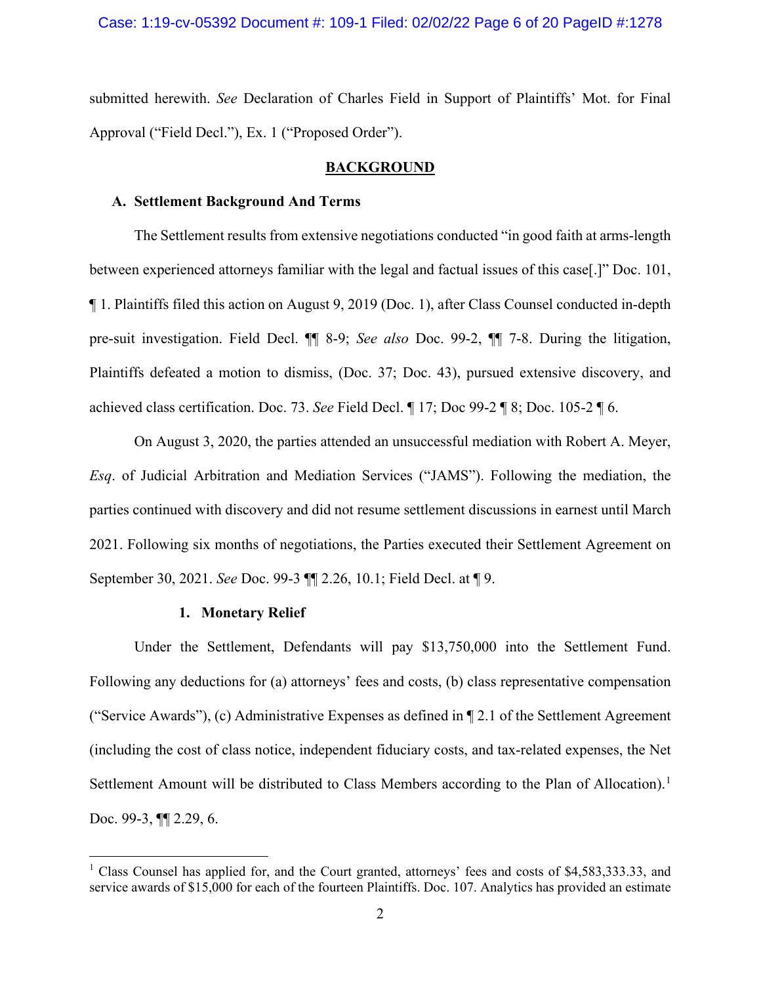submitted herewith. *See* Declaration of Charles Field in Support of Plaintiffs' Mot. for Final Approval ("Field Decl."), Ex. 1 ("Proposed Order").

#### **BACKGROUND**

#### <span id="page-5-1"></span><span id="page-5-0"></span>**A. Settlement Background And Terms**

The Settlement results from extensive negotiations conducted "in good faith at arms-length between experienced attorneys familiar with the legal and factual issues of this case[.]" Doc. 101, ¶ 1. Plaintiffs filed this action on August 9, 2019 (Doc. 1), after Class Counsel conducted in-depth pre-suit investigation. Field Decl. ¶¶ 8-9; *See also* Doc. 99-2, ¶¶ 7-8. During the litigation, Plaintiffs defeated a motion to dismiss, (Doc. 37; Doc. 43), pursued extensive discovery, and achieved class certification. Doc. 73. *See* Field Decl. ¶ 17; Doc 99-2 ¶ 8; Doc. 105-2 ¶ 6.

On August 3, 2020, the parties attended an unsuccessful mediation with Robert A. Meyer, *Esq*. of Judicial Arbitration and Mediation Services ("JAMS"). Following the mediation, the parties continued with discovery and did not resume settlement discussions in earnest until March 2021. Following six months of negotiations, the Parties executed their Settlement Agreement on September 30, 2021. *See* Doc. 99-3 ¶¶ 2.26, 10.1; Field Decl. at ¶ 9.

#### **1. Monetary Relief**

<span id="page-5-2"></span>Under the Settlement, Defendants will pay \$13,750,000 into the Settlement Fund. Following any deductions for (a) attorneys' fees and costs, (b) class representative compensation ("Service Awards"), (c) Administrative Expenses as defined in ¶ 2.1 of the Settlement Agreement (including the cost of class notice, independent fiduciary costs, and tax-related expenses, the Net Settlement Amount will be distributed to Class Members according to the Plan of Allocation).<sup>[1](#page-5-3)</sup> Doc. 99-3, **[[**] 2.29, 6.

<span id="page-5-3"></span><sup>&</sup>lt;sup>1</sup> Class Counsel has applied for, and the Court granted, attorneys' fees and costs of \$4,583,333.33, and service awards of \$15,000 for each of the fourteen Plaintiffs. Doc. 107. Analytics has provided an estimate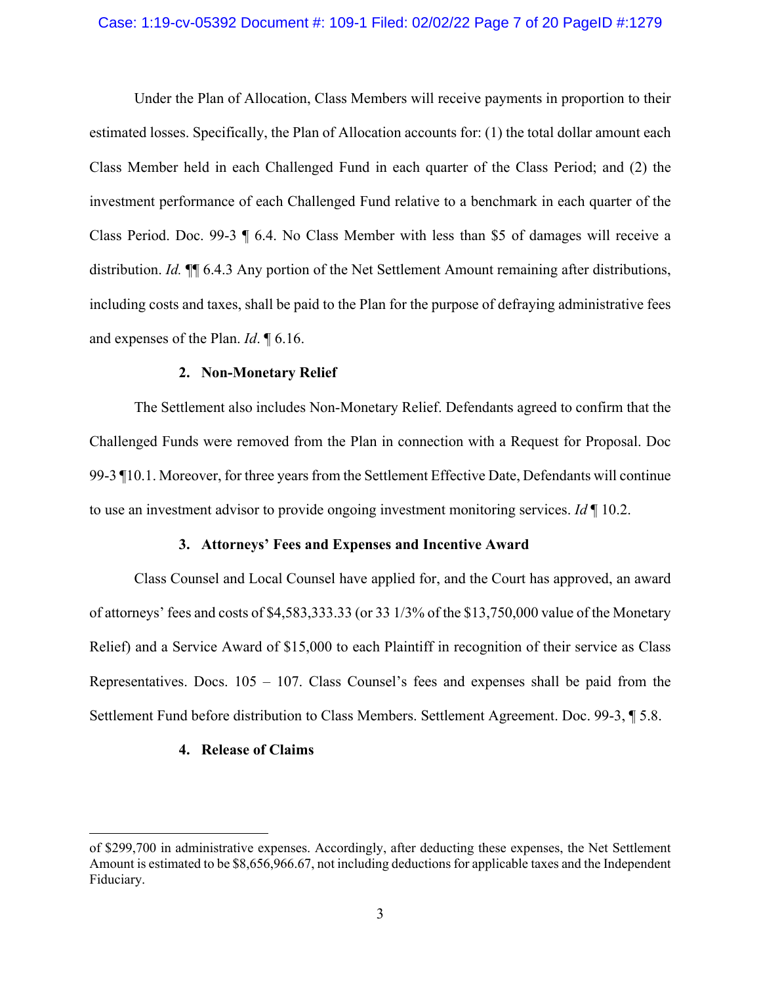#### Case: 1:19-cv-05392 Document #: 109-1 Filed: 02/02/22 Page 7 of 20 PageID #:1279

Under the Plan of Allocation, Class Members will receive payments in proportion to their estimated losses. Specifically, the Plan of Allocation accounts for: (1) the total dollar amount each Class Member held in each Challenged Fund in each quarter of the Class Period; and (2) the investment performance of each Challenged Fund relative to a benchmark in each quarter of the Class Period. Doc. 99-3 ¶ 6.4. No Class Member with less than \$5 of damages will receive a distribution. *Id.* ¶¶ 6.4.3 Any portion of the Net Settlement Amount remaining after distributions, including costs and taxes, shall be paid to the Plan for the purpose of defraying administrative fees and expenses of the Plan. *Id*. ¶ 6.16.

#### **2. Non-Monetary Relief**

<span id="page-6-0"></span>The Settlement also includes Non-Monetary Relief. Defendants agreed to confirm that the Challenged Funds were removed from the Plan in connection with a Request for Proposal. Doc 99-3 ¶10.1. Moreover, for three years from the Settlement Effective Date, Defendants will continue to use an investment advisor to provide ongoing investment monitoring services. *Id* ¶ 10.2.

#### **3. Attorneys' Fees and Expenses and Incentive Award**

<span id="page-6-1"></span>Class Counsel and Local Counsel have applied for, and the Court has approved, an award of attorneys' fees and costs of \$4,583,333.33 (or 33 1/3% of the \$13,750,000 value of the Monetary Relief) and a Service Award of \$15,000 to each Plaintiff in recognition of their service as Class Representatives. Docs.  $105 - 107$ . Class Counsel's fees and expenses shall be paid from the Settlement Fund before distribution to Class Members. Settlement Agreement. Doc. 99-3, ¶ 5.8.

#### <span id="page-6-2"></span>**4. Release of Claims**

of \$299,700 in administrative expenses. Accordingly, after deducting these expenses, the Net Settlement Amount is estimated to be \$8,656,966.67, not including deductions for applicable taxes and the Independent Fiduciary.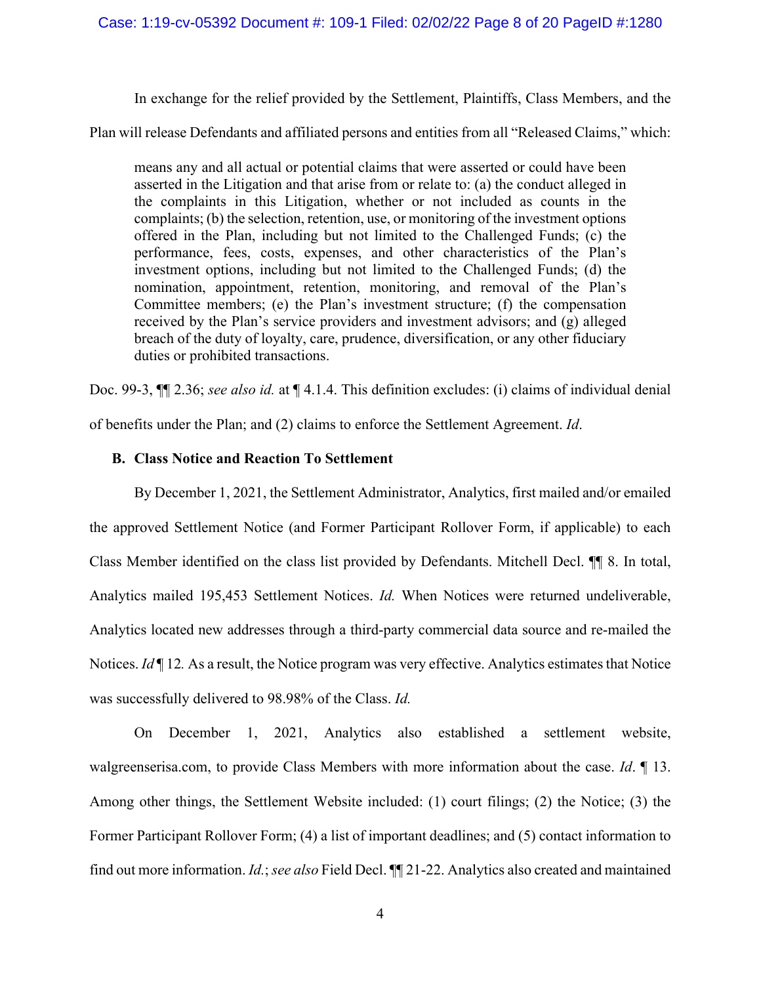#### Case: 1:19-cv-05392 Document #: 109-1 Filed: 02/02/22 Page 8 of 20 PageID #:1280

In exchange for the relief provided by the Settlement, Plaintiffs, Class Members, and the

Plan will release Defendants and affiliated persons and entities from all "Released Claims," which:

means any and all actual or potential claims that were asserted or could have been asserted in the Litigation and that arise from or relate to: (a) the conduct alleged in the complaints in this Litigation, whether or not included as counts in the complaints; (b) the selection, retention, use, or monitoring of the investment options offered in the Plan, including but not limited to the Challenged Funds; (c) the performance, fees, costs, expenses, and other characteristics of the Plan's investment options, including but not limited to the Challenged Funds; (d) the nomination, appointment, retention, monitoring, and removal of the Plan's Committee members; (e) the Plan's investment structure; (f) the compensation received by the Plan's service providers and investment advisors; and (g) alleged breach of the duty of loyalty, care, prudence, diversification, or any other fiduciary duties or prohibited transactions.

Doc. 99-3, ¶¶ 2.36; *see also id.* at ¶ 4.1.4. This definition excludes: (i) claims of individual denial

of benefits under the Plan; and (2) claims to enforce the Settlement Agreement. *Id*.

## <span id="page-7-0"></span>**B. Class Notice and Reaction To Settlement**

By December 1, 2021, the Settlement Administrator, Analytics, first mailed and/or emailed the approved Settlement Notice (and Former Participant Rollover Form, if applicable) to each Class Member identified on the class list provided by Defendants. Mitchell Decl. ¶¶ 8. In total, Analytics mailed 195,453 Settlement Notices. *Id.* When Notices were returned undeliverable, Analytics located new addresses through a third-party commercial data source and re-mailed the Notices. *Id* | 12. As a result, the Notice program was very effective. Analytics estimates that Notice was successfully delivered to 98.98% of the Class. *Id.* 

On December 1, 2021, Analytics also established a settlement website, walgreenserisa.com, to provide Class Members with more information about the case. *Id*. ¶ 13. Among other things, the Settlement Website included: (1) court filings; (2) the Notice; (3) the Former Participant Rollover Form; (4) a list of important deadlines; and (5) contact information to find out more information. *Id.*; *see also* Field Decl. ¶¶ 21-22. Analytics also created and maintained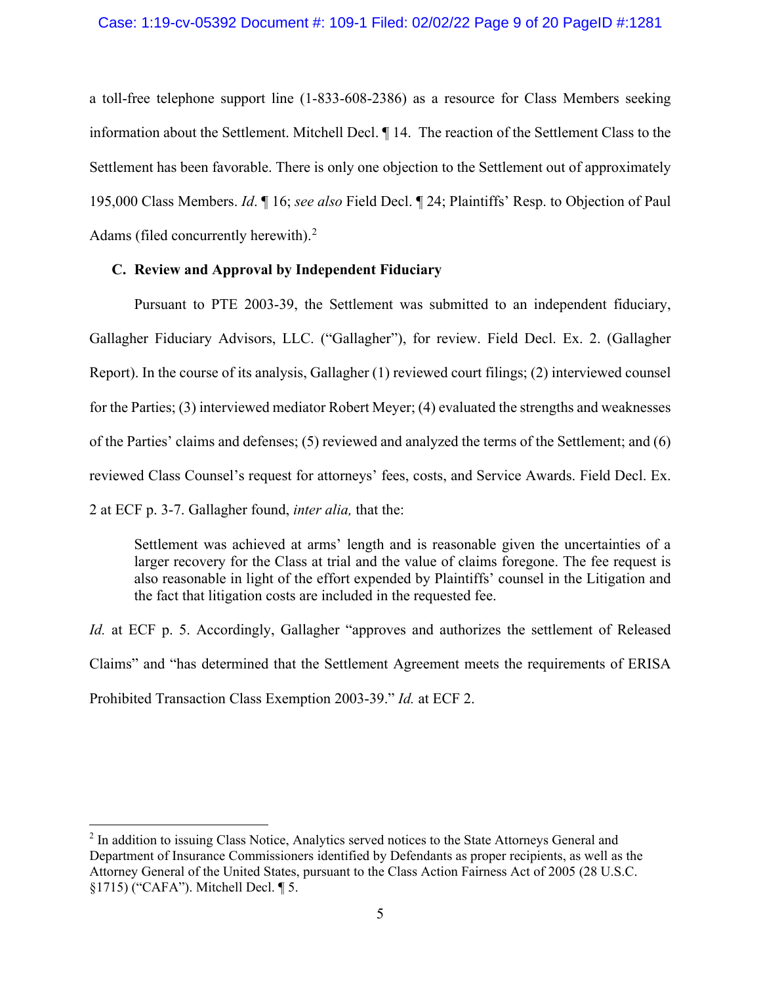a toll-free telephone support line (1-833-608-2386) as a resource for Class Members seeking information about the Settlement. Mitchell Decl. ¶ 14. The reaction of the Settlement Class to the Settlement has been favorable. There is only one objection to the Settlement out of approximately 195,000 Class Members. *Id*. ¶ 16; *see also* Field Decl. ¶ 24; Plaintiffs' Resp. to Objection of Paul Adams (filed concurrently herewith).<sup>[2](#page-8-1)</sup>

## <span id="page-8-0"></span>**C. Review and Approval by Independent Fiduciary**

Pursuant to PTE 2003-39, the Settlement was submitted to an independent fiduciary, Gallagher Fiduciary Advisors, LLC. ("Gallagher"), for review. Field Decl. Ex. 2. (Gallagher Report). In the course of its analysis, Gallagher (1) reviewed court filings; (2) interviewed counsel for the Parties; (3) interviewed mediator Robert Meyer; (4) evaluated the strengths and weaknesses of the Parties' claims and defenses; (5) reviewed and analyzed the terms of the Settlement; and (6) reviewed Class Counsel's request for attorneys' fees, costs, and Service Awards. Field Decl. Ex. 2 at ECF p. 3-7. Gallagher found, *inter alia,* that the:

Settlement was achieved at arms' length and is reasonable given the uncertainties of a larger recovery for the Class at trial and the value of claims foregone. The fee request is also reasonable in light of the effort expended by Plaintiffs' counsel in the Litigation and the fact that litigation costs are included in the requested fee.

*Id.* at ECF p. 5. Accordingly, Gallagher "approves and authorizes the settlement of Released Claims" and "has determined that the Settlement Agreement meets the requirements of ERISA Prohibited Transaction Class Exemption 2003-39." *Id.* at ECF 2.

<span id="page-8-1"></span><sup>&</sup>lt;sup>2</sup> In addition to issuing Class Notice, Analytics served notices to the State Attorneys General and Department of Insurance Commissioners identified by Defendants as proper recipients, as well as the Attorney General of the United States, pursuant to the Class Action Fairness Act of 2005 (28 U.S.C. §1715) ("CAFA"). Mitchell Decl. ¶ 5.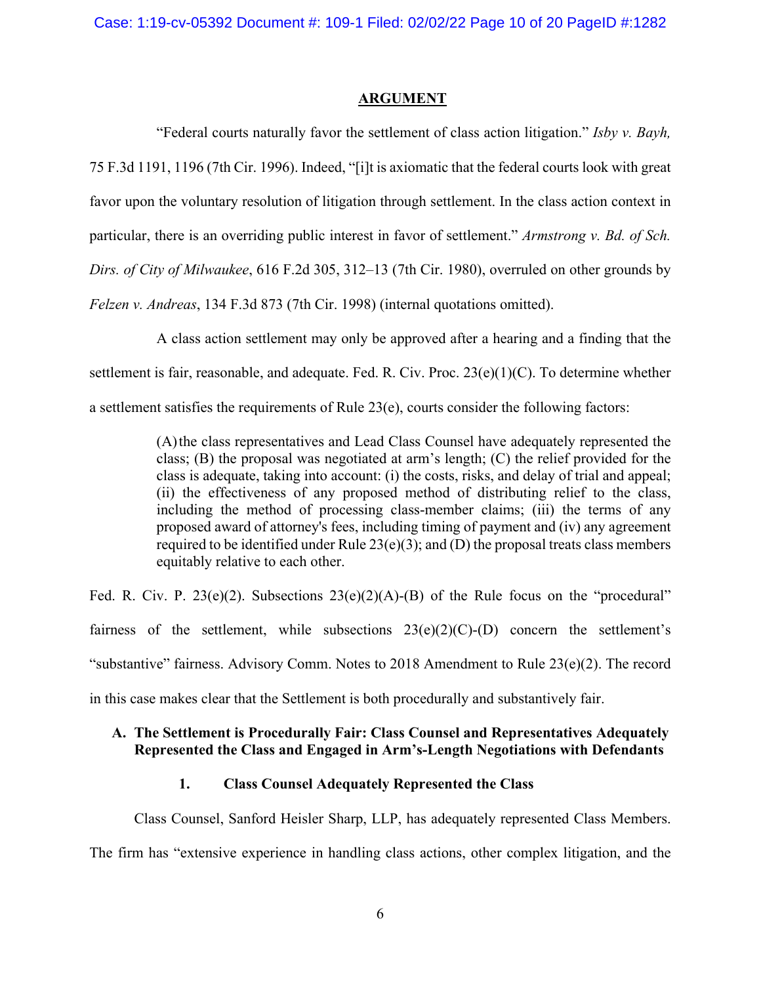#### **ARGUMENT**

<span id="page-9-0"></span>"Federal courts naturally favor the settlement of class action litigation." *Isby v. Bayh,* 75 F.3d 1191, 1196 (7th Cir. 1996). Indeed, "[i]t is axiomatic that the federal courts look with great favor upon the voluntary resolution of litigation through settlement. In the class action context in particular, there is an overriding public interest in favor of settlement." *Armstrong v. Bd. of Sch. Dirs. of City of Milwaukee*, 616 F.2d 305, 312–13 (7th Cir. 1980), overruled on other grounds by *Felzen v. Andreas*, 134 F.3d 873 (7th Cir. 1998) (internal quotations omitted).

A class action settlement may only be approved after a hearing and a finding that the settlement is fair, reasonable, and adequate. Fed. R. Civ. Proc. 23(e)(1)(C). To determine whether a settlement satisfies the requirements of Rule 23(e), courts consider the following factors:

> (A)the class representatives and Lead Class Counsel have adequately represented the class; (B) the proposal was negotiated at arm's length; (C) the relief provided for the class is adequate, taking into account: (i) the costs, risks, and delay of trial and appeal; (ii) the effectiveness of any proposed method of distributing relief to the class, including the method of processing class-member claims; (iii) the terms of any proposed award of attorney's fees, including timing of payment and (iv) any agreement required to be identified under Rule  $23(e)(3)$ ; and (D) the proposal treats class members equitably relative to each other.

Fed. R. Civ. P. 23(e)(2). Subsections  $23(e)(2)(A)-(B)$  of the Rule focus on the "procedural" fairness of the settlement, while subsections  $23(e)(2)(C)-(D)$  concern the settlement's "substantive" fairness. Advisory Comm. Notes to 2018 Amendment to Rule 23(e)(2). The record in this case makes clear that the Settlement is both procedurally and substantively fair.

## <span id="page-9-1"></span>**A. The Settlement is Procedurally Fair: Class Counsel and Representatives Adequately Represented the Class and Engaged in Arm's-Length Negotiations with Defendants**

### **1. Class Counsel Adequately Represented the Class**

<span id="page-9-2"></span>Class Counsel, Sanford Heisler Sharp, LLP, has adequately represented Class Members. The firm has "extensive experience in handling class actions, other complex litigation, and the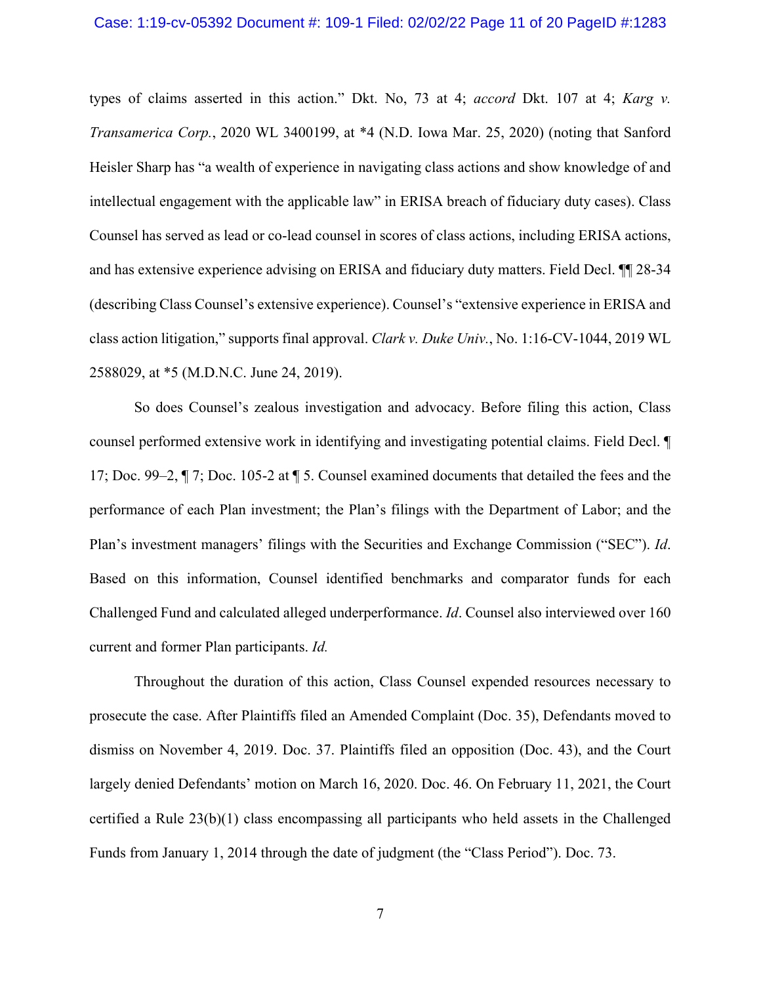types of claims asserted in this action." Dkt. No, 73 at 4; *accord* Dkt. 107 at 4; *Karg v. Transamerica Corp.*, 2020 WL 3400199, at \*4 (N.D. Iowa Mar. 25, 2020) (noting that Sanford Heisler Sharp has "a wealth of experience in navigating class actions and show knowledge of and intellectual engagement with the applicable law" in ERISA breach of fiduciary duty cases). Class Counsel has served as lead or co-lead counsel in scores of class actions, including ERISA actions, and has extensive experience advising on ERISA and fiduciary duty matters. Field Decl. ¶¶ 28-34 (describing Class Counsel's extensive experience). Counsel's "extensive experience in ERISA and class action litigation," supports final approval. *Clark v. Duke Univ.*, No. 1:16-CV-1044, 2019 WL 2588029, at \*5 (M.D.N.C. June 24, 2019).

So does Counsel's zealous investigation and advocacy. Before filing this action, Class counsel performed extensive work in identifying and investigating potential claims. Field Decl. ¶ 17; Doc. 99–2, ¶ 7; Doc. 105-2 at ¶ 5. Counsel examined documents that detailed the fees and the performance of each Plan investment; the Plan's filings with the Department of Labor; and the Plan's investment managers' filings with the Securities and Exchange Commission ("SEC"). *Id*. Based on this information, Counsel identified benchmarks and comparator funds for each Challenged Fund and calculated alleged underperformance. *Id*. Counsel also interviewed over 160 current and former Plan participants. *Id.* 

Throughout the duration of this action, Class Counsel expended resources necessary to prosecute the case. After Plaintiffs filed an Amended Complaint (Doc. 35), Defendants moved to dismiss on November 4, 2019. Doc. 37. Plaintiffs filed an opposition (Doc. 43), and the Court largely denied Defendants' motion on March 16, 2020. Doc. 46. On February 11, 2021, the Court certified a Rule 23(b)(1) class encompassing all participants who held assets in the Challenged Funds from January 1, 2014 through the date of judgment (the "Class Period"). Doc. 73.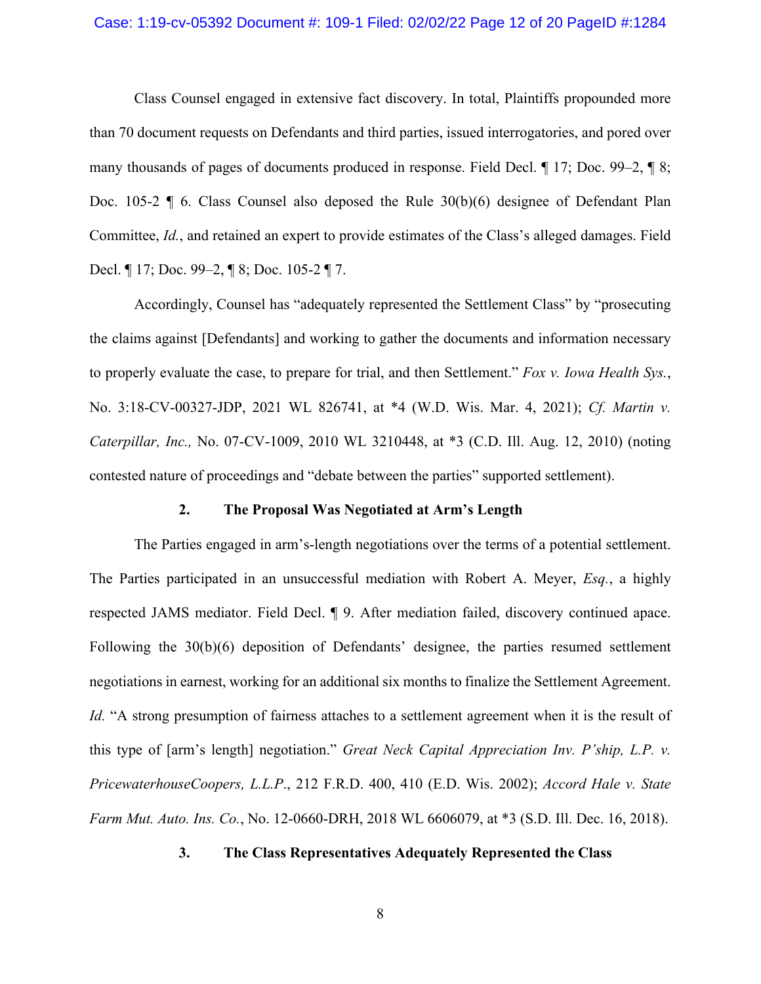#### Case: 1:19-cv-05392 Document #: 109-1 Filed: 02/02/22 Page 12 of 20 PageID #:1284

Class Counsel engaged in extensive fact discovery. In total, Plaintiffs propounded more than 70 document requests on Defendants and third parties, issued interrogatories, and pored over many thousands of pages of documents produced in response. Field Decl. ¶ 17; Doc. 99–2, ¶ 8; Doc. 105-2 ¶ 6. Class Counsel also deposed the Rule 30(b)(6) designee of Defendant Plan Committee, *Id.*, and retained an expert to provide estimates of the Class's alleged damages. Field Decl. ¶ 17; Doc. 99–2, ¶ 8; Doc. 105-2 ¶ 7.

Accordingly, Counsel has "adequately represented the Settlement Class" by "prosecuting the claims against [Defendants] and working to gather the documents and information necessary to properly evaluate the case, to prepare for trial, and then Settlement." *Fox v. Iowa Health Sys.*, No. 3:18-CV-00327-JDP, 2021 WL 826741, at \*4 (W.D. Wis. Mar. 4, 2021); *Cf. Martin v. Caterpillar, Inc.,* No. 07-CV-1009, 2010 WL 3210448, at \*3 (C.D. Ill. Aug. 12, 2010) (noting contested nature of proceedings and "debate between the parties" supported settlement).

#### **2. The Proposal Was Negotiated at Arm's Length**

<span id="page-11-0"></span>The Parties engaged in arm's-length negotiations over the terms of a potential settlement. The Parties participated in an unsuccessful mediation with Robert A. Meyer, *Esq.*, a highly respected JAMS mediator. Field Decl. ¶ 9. After mediation failed, discovery continued apace. Following the 30(b)(6) deposition of Defendants' designee, the parties resumed settlement negotiations in earnest, working for an additional six months to finalize the Settlement Agreement. *Id.* "A strong presumption of fairness attaches to a settlement agreement when it is the result of this type of [arm's length] negotiation." *Great Neck Capital Appreciation Inv. P'ship, L.P. v. PricewaterhouseCoopers, L.L.P*., 212 F.R.D. 400, 410 (E.D. Wis. 2002); *Accord Hale v. State Farm Mut. Auto. Ins. Co.*, No. 12-0660-DRH, 2018 WL 6606079, at \*3 (S.D. Ill. Dec. 16, 2018).

### <span id="page-11-1"></span>**3. The Class Representatives Adequately Represented the Class**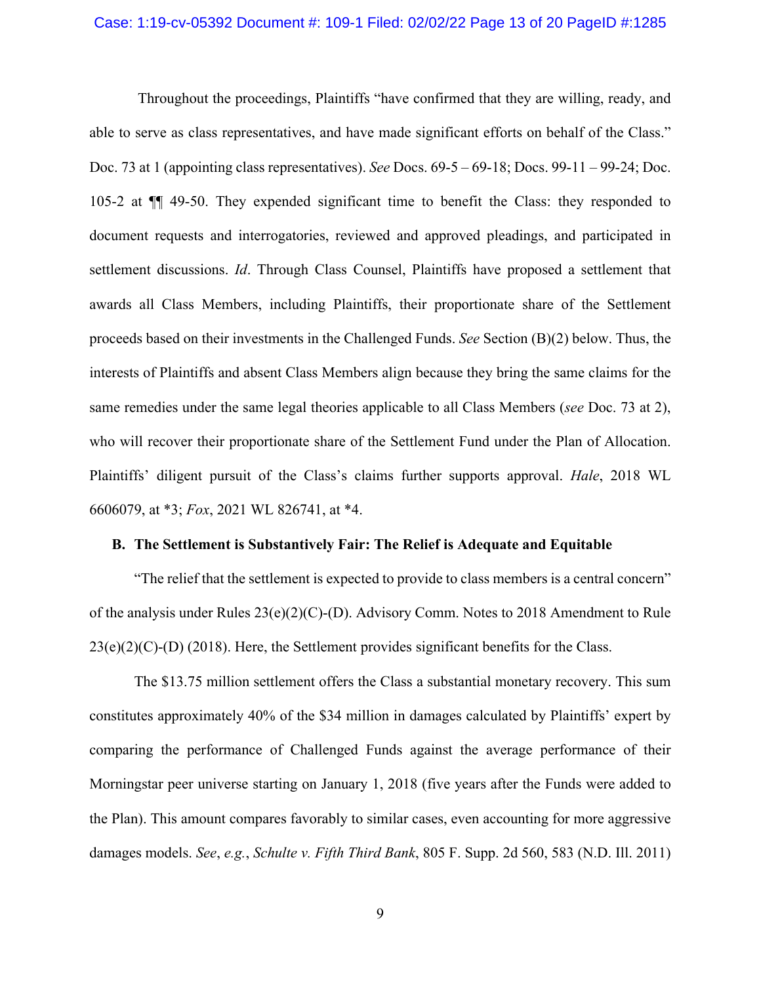#### Case: 1:19-cv-05392 Document #: 109-1 Filed: 02/02/22 Page 13 of 20 PageID #:1285

Throughout the proceedings, Plaintiffs "have confirmed that they are willing, ready, and able to serve as class representatives, and have made significant efforts on behalf of the Class." Doc. 73 at 1 (appointing class representatives). *See* Docs. 69-5 – 69-18; Docs. 99-11 – 99-24; Doc. 105-2 at ¶¶ 49-50. They expended significant time to benefit the Class: they responded to document requests and interrogatories, reviewed and approved pleadings, and participated in settlement discussions. *Id*. Through Class Counsel, Plaintiffs have proposed a settlement that awards all Class Members, including Plaintiffs, their proportionate share of the Settlement proceeds based on their investments in the Challenged Funds. *See* Section (B)(2) below. Thus, the interests of Plaintiffs and absent Class Members align because they bring the same claims for the same remedies under the same legal theories applicable to all Class Members (*see* Doc. 73 at 2), who will recover their proportionate share of the Settlement Fund under the Plan of Allocation. Plaintiffs' diligent pursuit of the Class's claims further supports approval. *Hale*, 2018 WL 6606079, at \*3; *Fox*, 2021 WL 826741, at \*4.

### <span id="page-12-0"></span>**B. The Settlement is Substantively Fair: The Relief is Adequate and Equitable**

"The relief that the settlement is expected to provide to class members is a central concern" of the analysis under Rules  $23(e)(2)(C)$ -(D). Advisory Comm. Notes to 2018 Amendment to Rule  $23(e)(2)(C)$ -(D) (2018). Here, the Settlement provides significant benefits for the Class.

The \$13.75 million settlement offers the Class a substantial monetary recovery. This sum constitutes approximately 40% of the \$34 million in damages calculated by Plaintiffs' expert by comparing the performance of Challenged Funds against the average performance of their Morningstar peer universe starting on January 1, 2018 (five years after the Funds were added to the Plan). This amount compares favorably to similar cases, even accounting for more aggressive damages models. *See*, *e.g.*, *Schulte v. Fifth Third Bank*, 805 F. Supp. 2d 560, 583 (N.D. Ill. 2011)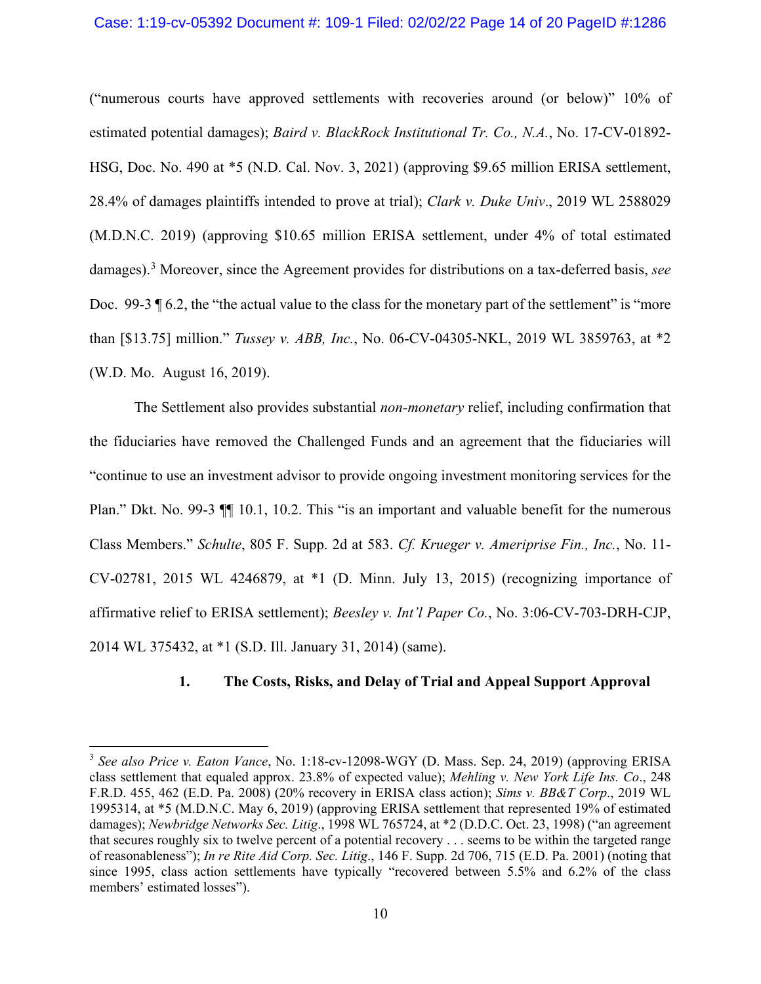#### Case: 1:19-cv-05392 Document #: 109-1 Filed: 02/02/22 Page 14 of 20 PageID #:1286

("numerous courts have approved settlements with recoveries around (or below)" 10% of estimated potential damages); *Baird v. BlackRock Institutional Tr. Co., N.A.*, No. 17-CV-01892- HSG, Doc. No. 490 at \*5 (N.D. Cal. Nov. 3, 2021) (approving \$9.65 million ERISA settlement, 28.4% of damages plaintiffs intended to prove at trial); *Clark v. Duke Univ*., 2019 WL 2588029 (M.D.N.C. 2019) (approving \$10.65 million ERISA settlement, under 4% of total estimated damages).[3](#page-13-1) Moreover, since the Agreement provides for distributions on a tax-deferred basis, *see* Doc. 99-3  $\P$  6.2, the "the actual value to the class for the monetary part of the settlement" is "more than [\$13.75] million." *Tussey v. ABB, Inc.*, No. 06-CV-04305-NKL, 2019 WL 3859763, at \*2 (W.D. Mo. August 16, 2019).

The Settlement also provides substantial *non-monetary* relief, including confirmation that the fiduciaries have removed the Challenged Funds and an agreement that the fiduciaries will "continue to use an investment advisor to provide ongoing investment monitoring services for the Plan." Dkt. No. 99-3  $\P$  10.1, 10.2. This "is an important and valuable benefit for the numerous Class Members." *Schulte*, 805 F. Supp. 2d at 583. *Cf. Krueger v. Ameriprise Fin., Inc.*, No. 11- CV-02781, 2015 WL 4246879, at \*1 (D. Minn. July 13, 2015) (recognizing importance of affirmative relief to ERISA settlement); *Beesley v. Int'l Paper Co.*, No. 3:06-CV-703-DRH-CJP, 2014 WL 375432, at \*1 (S.D. Ill. January 31, 2014) (same).

### **1. The Costs, Risks, and Delay of Trial and Appeal Support Approval**

<span id="page-13-1"></span><span id="page-13-0"></span><sup>3</sup> *See also Price v. Eaton Vance*, No. 1:18-cv-12098-WGY (D. Mass. Sep. 24, 2019) (approving ERISA class settlement that equaled approx. 23.8% of expected value); *Mehling v. New York Life Ins. Co*., 248 F.R.D. 455, 462 (E.D. Pa. 2008) (20% recovery in ERISA class action); *Sims v. BB&T Corp*., 2019 WL 1995314, at \*5 (M.D.N.C. May 6, 2019) (approving ERISA settlement that represented 19% of estimated damages); *Newbridge Networks Sec. Litig*., 1998 WL 765724, at \*2 (D.D.C. Oct. 23, 1998) ("an agreement that secures roughly six to twelve percent of a potential recovery . . . seems to be within the targeted range of reasonableness"); *In re Rite Aid Corp. Sec. Litig*., 146 F. Supp. 2d 706, 715 (E.D. Pa. 2001) (noting that since 1995, class action settlements have typically "recovered between 5.5% and 6.2% of the class members' estimated losses").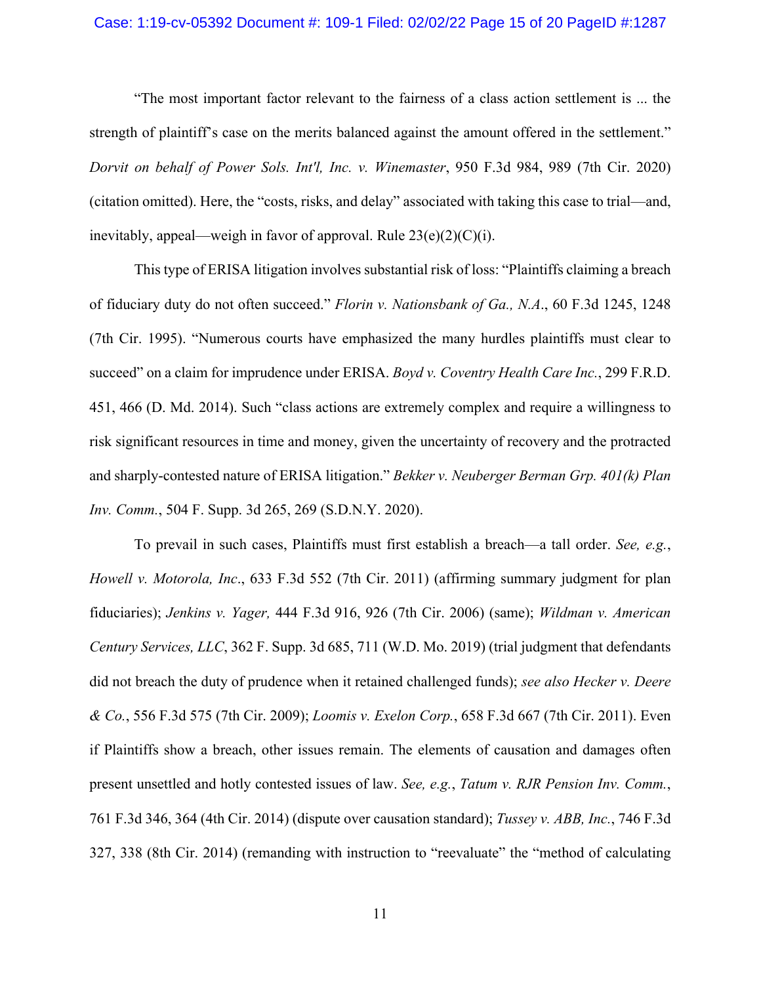#### Case: 1:19-cv-05392 Document #: 109-1 Filed: 02/02/22 Page 15 of 20 PageID #:1287

"The most important factor relevant to the fairness of a class action settlement is ... the strength of plaintiff's case on the merits balanced against the amount offered in the settlement." *Dorvit on behalf of Power Sols. Int'l, Inc. v. Winemaster*, 950 F.3d 984, 989 (7th Cir. 2020) (citation omitted). Here, the "costs, risks, and delay" associated with taking this case to trial—and, inevitably, appeal—weigh in favor of approval. Rule  $23(e)(2)(C)(i)$ .

This type of ERISA litigation involves substantial risk of loss: "Plaintiffs claiming a breach of fiduciary duty do not often succeed." *Florin v. Nationsbank of Ga., N.A*., 60 F.3d 1245, 1248 (7th Cir. 1995). "Numerous courts have emphasized the many hurdles plaintiffs must clear to succeed" on a claim for imprudence under ERISA. *Boyd v. Coventry Health Care Inc.*, 299 F.R.D. 451, 466 (D. Md. 2014). Such "class actions are extremely complex and require a willingness to risk significant resources in time and money, given the uncertainty of recovery and the protracted and sharply-contested nature of ERISA litigation." *Bekker v. Neuberger Berman Grp. 401(k) Plan Inv. Comm.*, 504 F. Supp. 3d 265, 269 (S.D.N.Y. 2020).

To prevail in such cases, Plaintiffs must first establish a breach—a tall order. *See, e.g.*, *Howell v. Motorola, Inc*., 633 F.3d 552 (7th Cir. 2011) (affirming summary judgment for plan fiduciaries); *Jenkins v. Yager,* 444 F.3d 916, 926 (7th Cir. 2006) (same); *Wildman v. American Century Services, LLC*, 362 F. Supp. 3d 685, 711 (W.D. Mo. 2019) (trial judgment that defendants did not breach the duty of prudence when it retained challenged funds); *see also Hecker v. Deere & Co.*, 556 F.3d 575 (7th Cir. 2009); *Loomis v. Exelon Corp.*, 658 F.3d 667 (7th Cir. 2011). Even if Plaintiffs show a breach, other issues remain. The elements of causation and damages often present unsettled and hotly contested issues of law. *See, e.g.*, *Tatum v. RJR Pension Inv. Comm.*, 761 F.3d 346, 364 (4th Cir. 2014) (dispute over causation standard); *Tussey v. ABB, Inc.*, 746 F.3d 327, 338 (8th Cir. 2014) (remanding with instruction to "reevaluate" the "method of calculating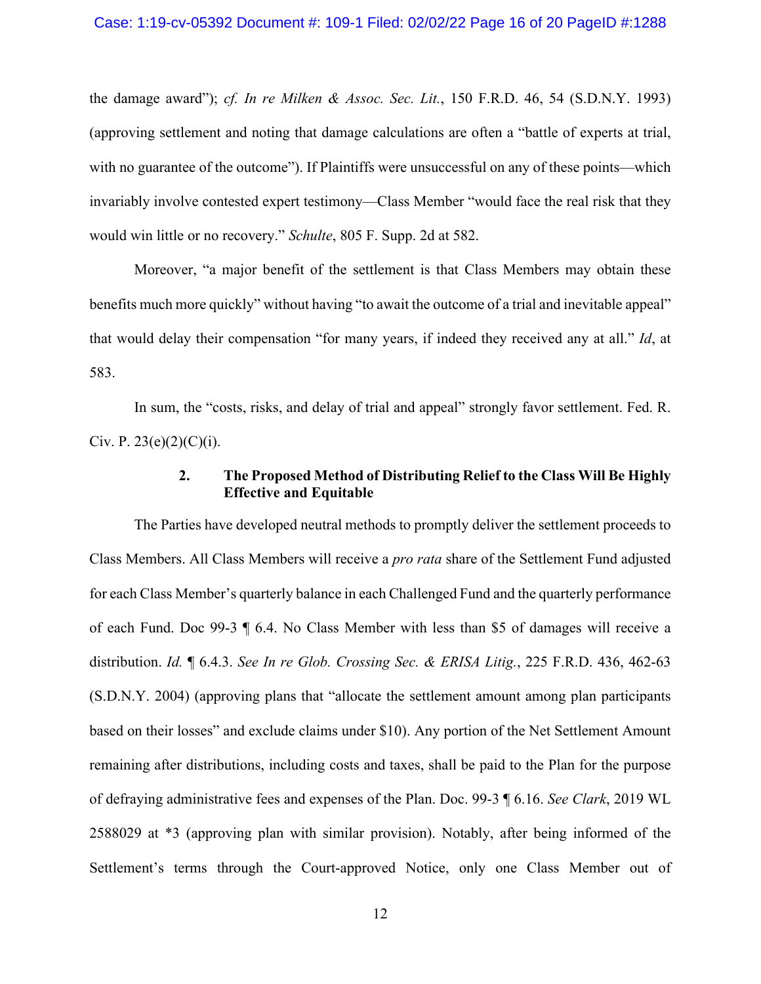the damage award"); *cf. In re Milken & Assoc. Sec. Lit.*, 150 F.R.D. 46, 54 (S.D.N.Y. 1993) (approving settlement and noting that damage calculations are often a "battle of experts at trial, with no guarantee of the outcome"). If Plaintiffs were unsuccessful on any of these points—which invariably involve contested expert testimony—Class Member "would face the real risk that they would win little or no recovery." *Schulte*, 805 F. Supp. 2d at 582.

Moreover, "a major benefit of the settlement is that Class Members may obtain these benefits much more quickly" without having "to await the outcome of a trial and inevitable appeal" that would delay their compensation "for many years, if indeed they received any at all." *Id*, at 583.

In sum, the "costs, risks, and delay of trial and appeal" strongly favor settlement. Fed. R. Civ. P.  $23(e)(2)(C)(i)$ .

## **2. The Proposed Method of Distributing Relief to the Class Will Be Highly Effective and Equitable**

<span id="page-15-0"></span>The Parties have developed neutral methods to promptly deliver the settlement proceeds to Class Members. All Class Members will receive a *pro rata* share of the Settlement Fund adjusted for each Class Member's quarterly balance in each Challenged Fund and the quarterly performance of each Fund. Doc 99-3 ¶ 6.4. No Class Member with less than \$5 of damages will receive a distribution. *Id.* ¶ 6.4.3. *See In re Glob. Crossing Sec. & ERISA Litig.*, 225 F.R.D. 436, 462-63 (S.D.N.Y. 2004) (approving plans that "allocate the settlement amount among plan participants based on their losses" and exclude claims under \$10). Any portion of the Net Settlement Amount remaining after distributions, including costs and taxes, shall be paid to the Plan for the purpose of defraying administrative fees and expenses of the Plan. Doc. 99-3 ¶ 6.16. *See Clark*, 2019 WL 2588029 at \*3 (approving plan with similar provision). Notably, after being informed of the Settlement's terms through the Court-approved Notice, only one Class Member out of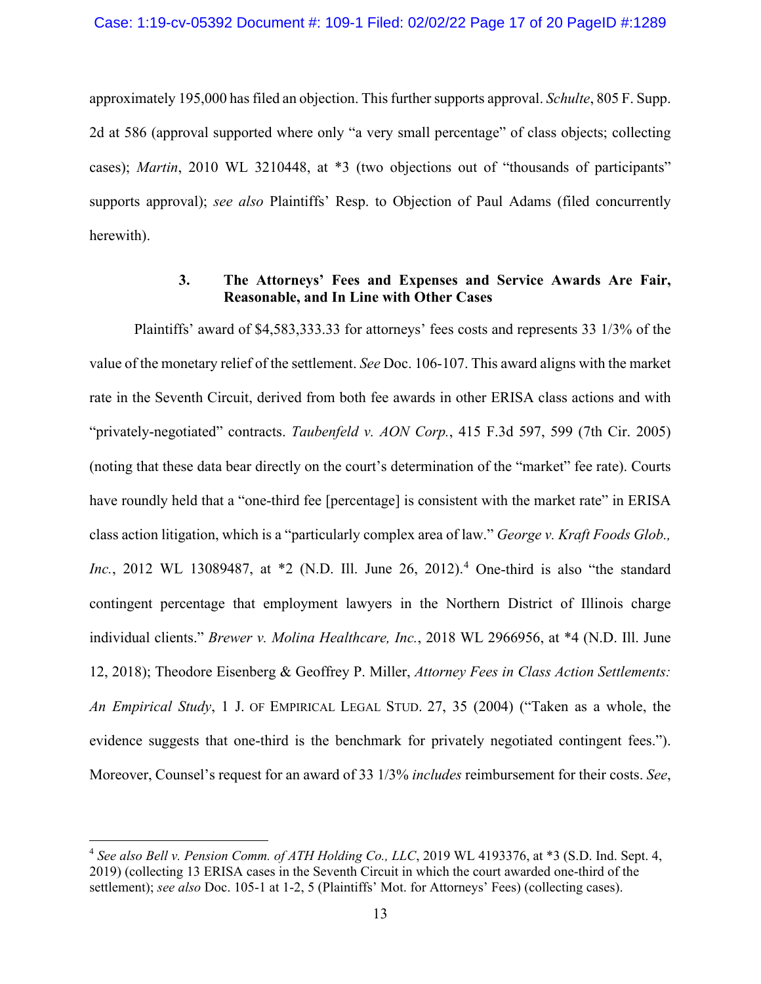approximately 195,000 has filed an objection. This further supports approval. *Schulte*, 805 F. Supp. 2d at 586 (approval supported where only "a very small percentage" of class objects; collecting cases); *Martin*, 2010 WL 3210448, at \*3 (two objections out of "thousands of participants" supports approval); *see also* Plaintiffs' Resp. to Objection of Paul Adams (filed concurrently herewith).

## **3. The Attorneys' Fees and Expenses and Service Awards Are Fair, Reasonable, and In Line with Other Cases**

<span id="page-16-0"></span>Plaintiffs' award of \$4,583,333.33 for attorneys' fees costs and represents 33 1/3% of the value of the monetary relief of the settlement. *See* Doc. 106-107. This award aligns with the market rate in the Seventh Circuit, derived from both fee awards in other ERISA class actions and with "privately-negotiated" contracts. *Taubenfeld v. AON Corp.*, 415 F.3d 597, 599 (7th Cir. 2005) (noting that these data bear directly on the court's determination of the "market" fee rate). Courts have roundly held that a "one-third fee [percentage] is consistent with the market rate" in ERISA class action litigation, which is a "particularly complex area of law." *George v. Kraft Foods Glob., Inc.*, 2012 WL 13089487, at \*2 (N.D. Ill. June 26, 2012). [4](#page-16-1) One-third is also "the standard contingent percentage that employment lawyers in the Northern District of Illinois charge individual clients." *Brewer v. Molina Healthcare, Inc.*, 2018 WL 2966956, at \*4 (N.D. Ill. June 12, 2018); Theodore Eisenberg & Geoffrey P. Miller, *Attorney Fees in Class Action Settlements: An Empirical Study*, 1 J. OF EMPIRICAL LEGAL STUD. 27, 35 (2004) ("Taken as a whole, the evidence suggests that one-third is the benchmark for privately negotiated contingent fees."). Moreover, Counsel's request for an award of 33 1/3% *includes* reimbursement for their costs. *See*,

<span id="page-16-1"></span><sup>4</sup> *See also Bell v. Pension Comm. of ATH Holding Co., LLC*, 2019 WL 4193376, at \*3 (S.D. Ind. Sept. 4, 2019) (collecting 13 ERISA cases in the Seventh Circuit in which the court awarded one-third of the settlement); *see also* Doc. 105-1 at 1-2, 5 (Plaintiffs' Mot. for Attorneys' Fees) (collecting cases).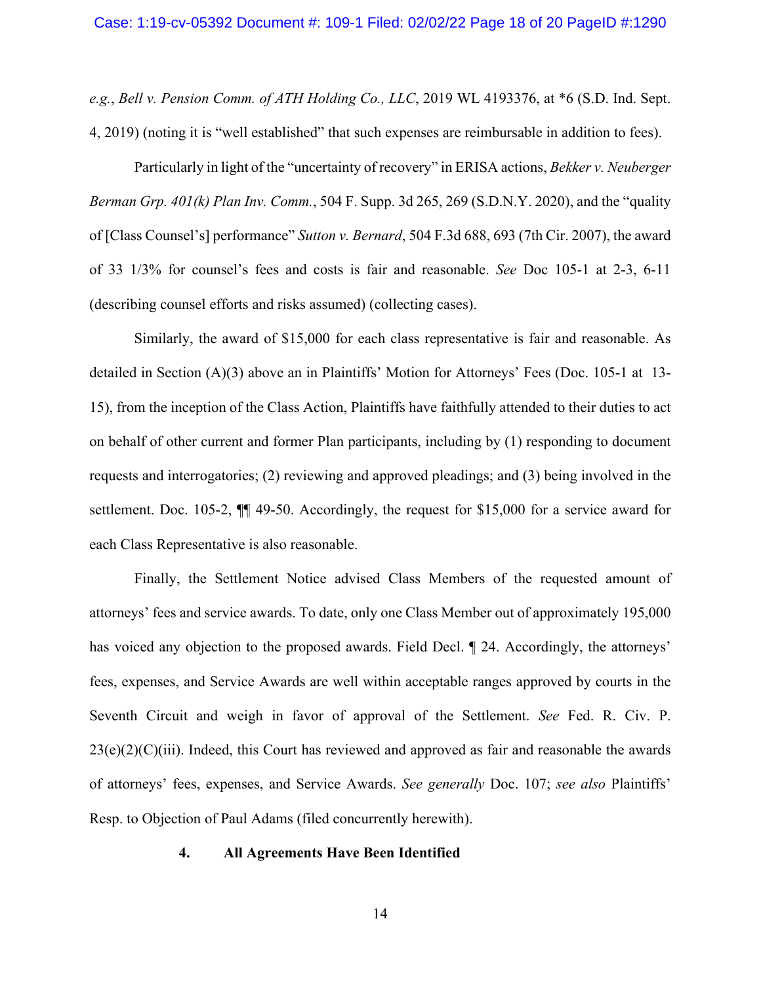*e.g.*, *Bell v. Pension Comm. of ATH Holding Co., LLC*, 2019 WL 4193376, at \*6 (S.D. Ind. Sept. 4, 2019) (noting it is "well established" that such expenses are reimbursable in addition to fees).

Particularly in light of the "uncertainty of recovery" in ERISA actions, *Bekker v. Neuberger Berman Grp. 401(k) Plan Inv. Comm.*, 504 F. Supp. 3d 265, 269 (S.D.N.Y. 2020), and the "quality of [Class Counsel's] performance" *Sutton v. Bernard*, 504 F.3d 688, 693 (7th Cir. 2007), the award of 33 1/3% for counsel's fees and costs is fair and reasonable. *See* Doc 105-1 at 2-3, 6-11 (describing counsel efforts and risks assumed) (collecting cases).

Similarly, the award of \$15,000 for each class representative is fair and reasonable. As detailed in Section (A)(3) above an in Plaintiffs' Motion for Attorneys' Fees (Doc. 105-1 at 13- 15), from the inception of the Class Action, Plaintiffs have faithfully attended to their duties to act on behalf of other current and former Plan participants, including by (1) responding to document requests and interrogatories; (2) reviewing and approved pleadings; and (3) being involved in the settlement. Doc. 105-2, ¶¶ 49-50. Accordingly, the request for \$15,000 for a service award for each Class Representative is also reasonable.

Finally, the Settlement Notice advised Class Members of the requested amount of attorneys' fees and service awards. To date, only one Class Member out of approximately 195,000 has voiced any objection to the proposed awards. Field Decl. ¶ 24. Accordingly, the attorneys' fees, expenses, and Service Awards are well within acceptable ranges approved by courts in the Seventh Circuit and weigh in favor of approval of the Settlement. *See* Fed. R. Civ. P.  $23(e)(2)(C)(iii)$ . Indeed, this Court has reviewed and approved as fair and reasonable the awards of attorneys' fees, expenses, and Service Awards. *See generally* Doc. 107; *see also* Plaintiffs' Resp. to Objection of Paul Adams (filed concurrently herewith).

#### <span id="page-17-0"></span>**4. All Agreements Have Been Identified**

14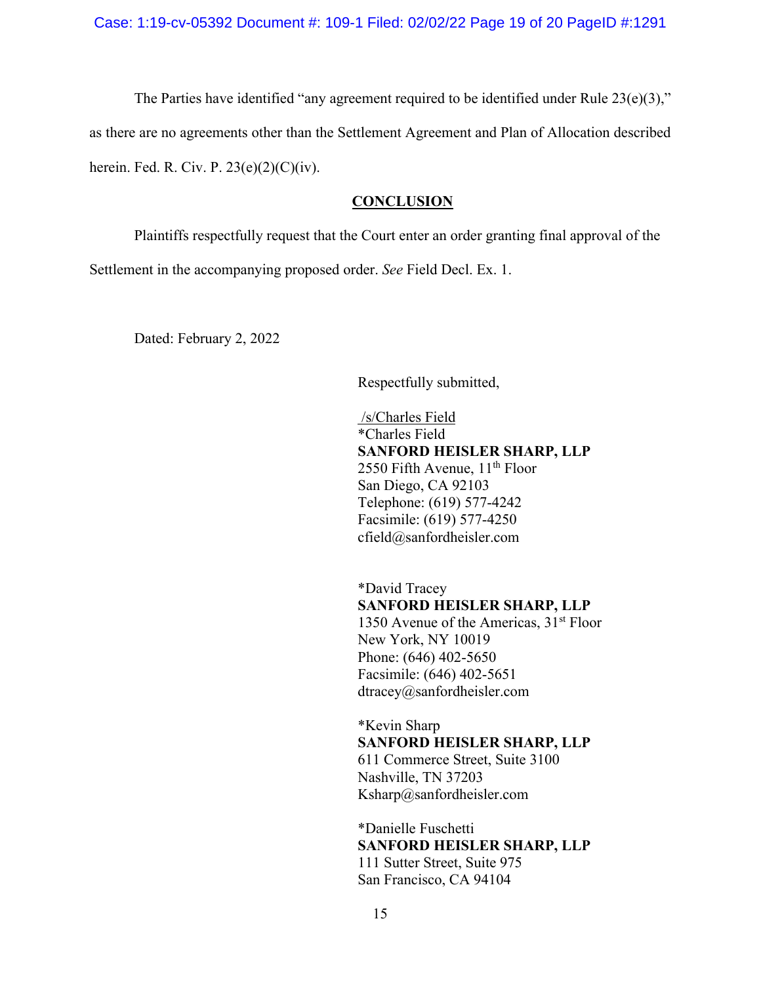Case: 1:19-cv-05392 Document #: 109-1 Filed: 02/02/22 Page 19 of 20 PageID #:1291

The Parties have identified "any agreement required to be identified under Rule  $23(e)(3)$ ," as there are no agreements other than the Settlement Agreement and Plan of Allocation described

<span id="page-18-0"></span>herein. Fed. R. Civ. P.  $23(e)(2)(C)(iv)$ .

## **CONCLUSION**

Plaintiffs respectfully request that the Court enter an order granting final approval of the

Settlement in the accompanying proposed order. *See* Field Decl. Ex. 1.

Dated: February 2, 2022

Respectfully submitted,

/s/Charles Field \*Charles Field **SANFORD HEISLER SHARP, LLP** 2550 Fifth Avenue,  $11<sup>th</sup>$  Floor San Diego, CA 92103 Telephone: (619) 577-4242 Facsimile: (619) 577-4250 cfield@sanfordheisler.com

\*David Tracey **SANFORD HEISLER SHARP, LLP** 1350 Avenue of the Americas,  $31<sup>st</sup>$  Floor New York, NY 10019 Phone: (646) 402-5650 Facsimile: (646) 402-5651 dtracey@sanfordheisler.com

\*Kevin Sharp **SANFORD HEISLER SHARP, LLP** 611 Commerce Street, Suite 3100

Nashville, TN 37203 Ksharp@sanfordheisler.com

\*Danielle Fuschetti **SANFORD HEISLER SHARP, LLP** 111 Sutter Street, Suite 975 San Francisco, CA 94104